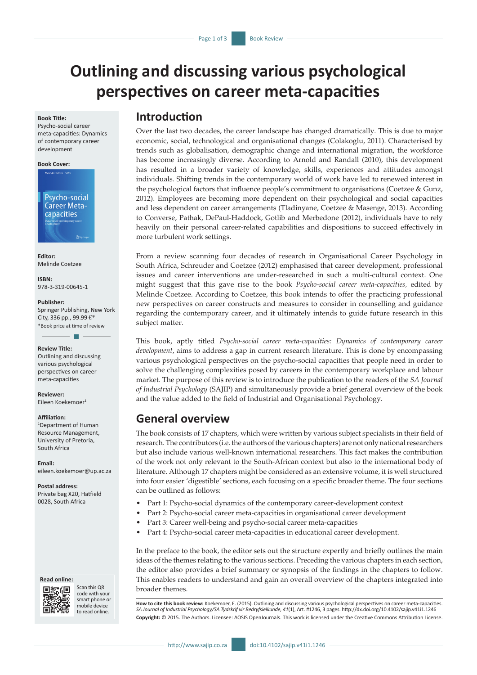# **Outlining and discussing various psychological perspectives on career meta-capacities**

#### **Book Title:**

Psycho-social career meta-capacities: Dynamics of contemporary career development

#### **Book Cover:**

Psycho-social Career Metacapacities

**Editor:** Melinde Coetzee

**ISBN:** 978-3-319-00645-1

#### **Publisher:**

Springer Publishing, New York City, 336 pp., 99.99 €\* \*Book price at time of review

×.

#### **Review Title:**

Outlining and discussing various psychological perspectives on career meta-capacities

**Reviewer:** Eileen Koekemoer<sup>1</sup>

#### **Affiliation:**

1 Department of Human Resource Management, University of Pretoria, South Africa

**Email:** [eileen.koekemoer@up.ac.za](mailto:eileen.koekemoer@up.ac.za)

**Postal address:** Private bag X20, Hatfield 0028, South Africa

#### **Read online:**



Scan this QR code with your smart phone or mobile device to read online.

### **Introduction**

Over the last two decades, the career landscape has changed dramatically. This is due to major economic, social, technological and organisational changes (Colakoglu, 2011). Characterised by trends such as globalisation, demographic change and international migration, the workforce has become increasingly diverse. According to Arnold and Randall (2010), this development has resulted in a broader variety of knowledge, skills, experiences and attitudes amongst individuals. Shifting trends in the contemporary world of work have led to renewed interest in the psychological factors that influence people's commitment to organisations (Coetzee & Gunz, 2012). Employees are becoming more dependent on their psychological and social capacities and less dependent on career arrangements (Tladinyane, Coetzee & Masenge, 2013). According to Converse, Pathak, DePaul-Haddock, Gotlib and Merbedone (2012), individuals have to rely heavily on their personal career-related capabilities and dispositions to succeed effectively in more turbulent work settings.

From a review scanning four decades of research in Organisational Career Psychology in South Africa, Schreuder and Coetzee (2012) emphasised that career development, professional issues and career interventions are under-researched in such a multi-cultural context. One might suggest that this gave rise to the book *Psycho-social career meta-capacities,* edited by Melinde Coetzee. According to Coetzee, this book intends to offer the practicing professional new perspectives on career constructs and measures to consider in counselling and guidance regarding the contemporary career, and it ultimately intends to guide future research in this subject matter.

This book, aptly titled *Psycho-social career meta-capacities: Dynamics of contemporary career development*, aims to address a gap in current research literature. This is done by encompassing various psychological perspectives on the psycho-social capacities that people need in order to solve the challenging complexities posed by careers in the contemporary workplace and labour market. The purpose of this review is to introduce the publication to the readers of the *SA Journal of Industrial Psychology* (SAJIP) and simultaneously provide a brief general overview of the book and the value added to the field of Industrial and Organisational Psychology.

## **General overview**

The book consists of 17 chapters, which were written by various subject specialists in their field of research. The contributors (i.e. the authors of the various chapters) are not only national researchers but also include various well-known international researchers. This fact makes the contribution of the work not only relevant to the South-African context but also to the international body of literature. Although 17 chapters might be considered as an extensive volume, it is well structured into four easier 'digestible' sections, each focusing on a specific broader theme. The four sections can be outlined as follows:

- Part 1: Psycho-social dynamics of the contemporary career-development context
- Part 2: Psycho-social career meta-capacities in organisational career development
- Part 3: Career well-being and psycho-social career meta-capacities
- Part 4: Psycho-social career meta-capacities in educational career development.

In the preface to the book, the editor sets out the structure expertly and briefly outlines the main ideas of the themes relating to the various sections. Preceding the various chapters in each section, the editor also provides a brief summary or synopsis of the findings in the chapters to follow. This enables readers to understand and gain an overall overview of the chapters integrated into broader themes.

How to cite this book review: Koekemoer, E. (2015). Outlining and discussing various psychological perspectives on career meta-capacities.<br>SA Journal of Industrial Psychology/SA Tydskrif vir Bedryfsielkunde, 41(1), Art. #1 **Copyright:** © 2015. The Authors. Licensee: AOSIS OpenJournals. This work is licensed under the Creative Commons Attribution License.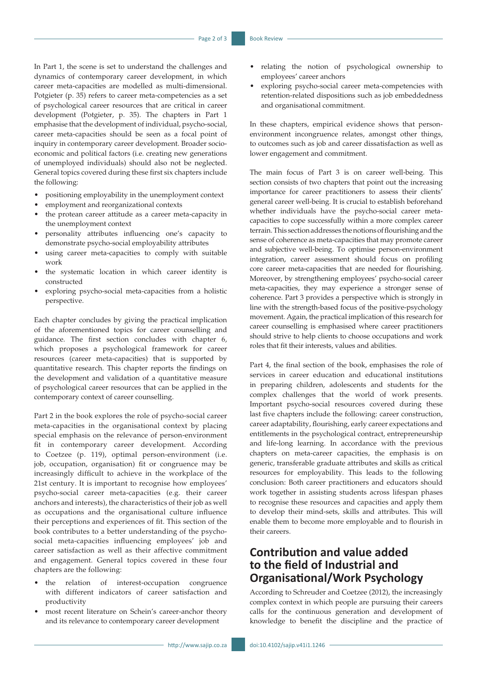In Part 1, the scene is set to understand the challenges and dynamics of contemporary career development, in which career meta-capacities are modelled as multi-dimensional. Potgieter (p. 35) refers to career meta-competencies as a set of psychological career resources that are critical in career development (Potgieter, p. 35). The chapters in Part 1 emphasise that the development of individual, psycho-social, career meta-capacities should be seen as a focal point of inquiry in contemporary career development. Broader socioeconomic and political factors (i.e. creating new generations of unemployed individuals) should also not be neglected. General topics covered during these first six chapters include the following:

- positioning employability in the unemployment context
- employment and reorganizational contexts
- the protean career attitude as a career meta-capacity in the unemployment context
- personality attributes influencing one's capacity to demonstrate psycho-social employability attributes
- using career meta-capacities to comply with suitable work
- the systematic location in which career identity is constructed
- exploring psycho-social meta-capacities from a holistic perspective.

Each chapter concludes by giving the practical implication of the aforementioned topics for career counselling and guidance. The first section concludes with chapter 6, which proposes a psychological framework for career resources (career meta-capacities) that is supported by quantitative research. This chapter reports the findings on the development and validation of a quantitative measure of psychological career resources that can be applied in the contemporary context of career counselling.

Part 2 in the book explores the role of psycho-social career meta-capacities in the organisational context by placing special emphasis on the relevance of person-environment fit in contemporary career development. According to Coetzee (p. 119), optimal person-environment (i.e. job, occupation, organisation) fit or congruence may be increasingly difficult to achieve in the workplace of the 21st century. It is important to recognise how employees' psycho-social career meta-capacities (e.g. their career anchors and interests), the characteristics of their job as well as occupations and the organisational culture influence their perceptions and experiences of fit. This section of the book contributes to a better understanding of the psychosocial meta-capacities influencing employees' job and career satisfaction as well as their affective commitment and engagement. General topics covered in these four chapters are the following:

- the relation of interest-occupation congruence with different indicators of career satisfaction and productivity
- most recent literature on Schein's career-anchor theory and its relevance to contemporary career development
- relating the notion of psychological ownership to employees' career anchors
- exploring psycho-social career meta-competencies with retention-related dispositions such as job embeddedness and organisational commitment.

In these chapters, empirical evidence shows that personenvironment incongruence relates, amongst other things, to outcomes such as job and career dissatisfaction as well as lower engagement and commitment.

The main focus of Part 3 is on career well-being. This section consists of two chapters that point out the increasing importance for career practitioners to assess their clients' general career well-being. It is crucial to establish beforehand whether individuals have the psycho-social career metacapacities to cope successfully within a more complex career terrain. This section addresses the notions of flourishing and the sense of coherence as meta-capacities that may promote career and subjective well-being. To optimise person-environment integration, career assessment should focus on profiling core career meta-capacities that are needed for flourishing. Moreover, by strengthening employees' psycho-social career meta-capacities, they may experience a stronger sense of coherence. Part 3 provides a perspective which is strongly in line with the strength-based focus of the positive-psychology movement. Again, the practical implication of this research for career counselling is emphasised where career practitioners should strive to help clients to choose occupations and work roles that fit their interests, values and abilities.

Part 4, the final section of the book, emphasises the role of services in career education and educational institutions in preparing children, adolescents and students for the complex challenges that the world of work presents. Important psycho-social resources covered during these last five chapters include the following: career construction, career adaptability, flourishing, early career expectations and entitlements in the psychological contract, entrepreneurship and life-long learning. In accordance with the previous chapters on meta-career capacities, the emphasis is on generic, transferable graduate attributes and skills as critical resources for employability. This leads to the following conclusion: Both career practitioners and educators should work together in assisting students across lifespan phases to recognise these resources and capacities and apply them to develop their mind-sets, skills and attributes. This will enable them to become more employable and to flourish in their careers.

# **Contribution and value added to the field of Industrial and Organisational/Work Psychology**

According to Schreuder and Coetzee (2012), the increasingly complex context in which people are pursuing their careers calls for the continuous generation and development of knowledge to benefit the discipline and the practice of